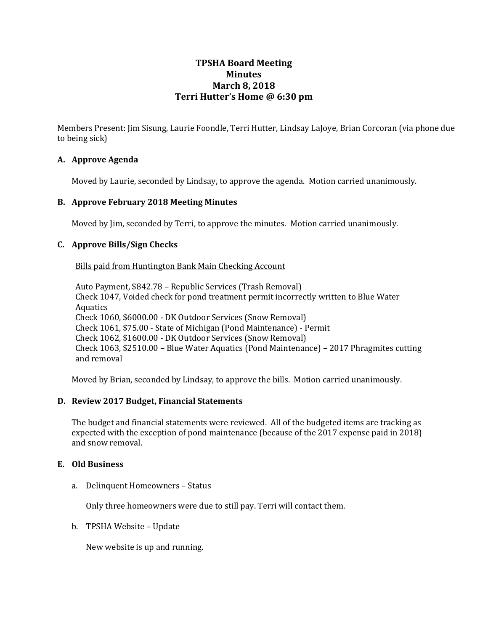# **TPSHA Board Meeting Minutes March 8, 2018 Terri Hutter's Home @ 6:30 pm**

Members Present: Jim Sisung, Laurie Foondle, Terri Hutter, Lindsay LaJoye, Brian Corcoran (via phone due to being sick)

# **A. Approve Agenda**

Moved by Laurie, seconded by Lindsay, to approve the agenda. Motion carried unanimously.

#### **B. Approve February 2018 Meeting Minutes**

Moved by Jim, seconded by Terri, to approve the minutes. Motion carried unanimously.

### **C. Approve Bills/Sign Checks**

Bills paid from Huntington Bank Main Checking Account

Auto Payment, \$842.78 – Republic Services (Trash Removal) Check 1047, Voided check for pond treatment permit incorrectly written to Blue Water Aquatics Check 1060, \$6000.00 - DK Outdoor Services (Snow Removal) Check 1061, \$75.00 - State of Michigan (Pond Maintenance) - Permit Check 1062, \$1600.00 - DK Outdoor Services (Snow Removal) Check 1063, \$2510.00 – Blue Water Aquatics (Pond Maintenance) – 2017 Phragmites cutting and removal

Moved by Brian, seconded by Lindsay, to approve the bills. Motion carried unanimously.

#### **D. Review 2017 Budget, Financial Statements**

The budget and financial statements were reviewed. All of the budgeted items are tracking as expected with the exception of pond maintenance (because of the 2017 expense paid in 2018) and snow removal.

#### **E. Old Business**

a. Delinquent Homeowners – Status

Only three homeowners were due to still pay. Terri will contact them.

b. TPSHA Website – Update

New website is up and running.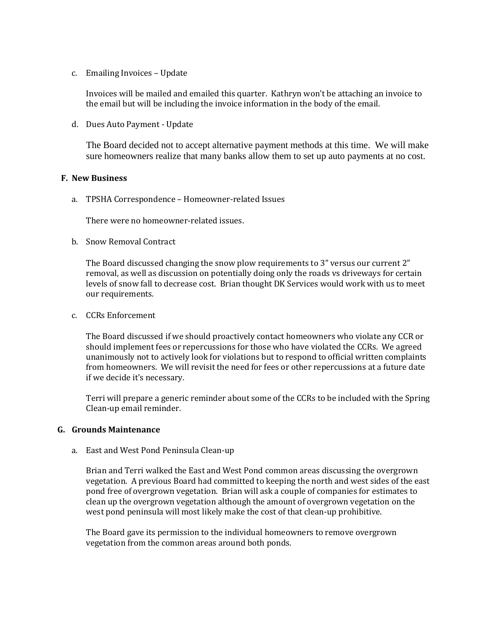c. Emailing Invoices – Update

Invoices will be mailed and emailed this quarter. Kathryn won't be attaching an invoice to the email but will be including the invoice information in the body of the email.

d. Dues Auto Payment - Update

The Board decided not to accept alternative payment methods at this time. We will make sure homeowners realize that many banks allow them to set up auto payments at no cost.

#### **F. New Business**

a. TPSHA Correspondence – Homeowner-related Issues

There were no homeowner-related issues.

b. Snow Removal Contract

The Board discussed changing the snow plow requirements to 3" versus our current 2" removal, as well as discussion on potentially doing only the roads vs driveways for certain levels of snow fall to decrease cost. Brian thought DK Services would work with us to meet our requirements.

c. CCRs Enforcement

The Board discussed if we should proactively contact homeowners who violate any CCR or should implement fees or repercussions for those who have violated the CCRs. We agreed unanimously not to actively look for violations but to respond to official written complaints from homeowners. We will revisit the need for fees or other repercussions at a future date if we decide it's necessary.

Terri will prepare a generic reminder about some of the CCRs to be included with the Spring Clean-up email reminder.

# **G. Grounds Maintenance**

a. East and West Pond Peninsula Clean-up

Brian and Terri walked the East and West Pond common areas discussing the overgrown vegetation. A previous Board had committed to keeping the north and west sides of the east pond free of overgrown vegetation. Brian will ask a couple of companies for estimates to clean up the overgrown vegetation although the amount of overgrown vegetation on the west pond peninsula will most likely make the cost of that clean-up prohibitive.

The Board gave its permission to the individual homeowners to remove overgrown vegetation from the common areas around both ponds.